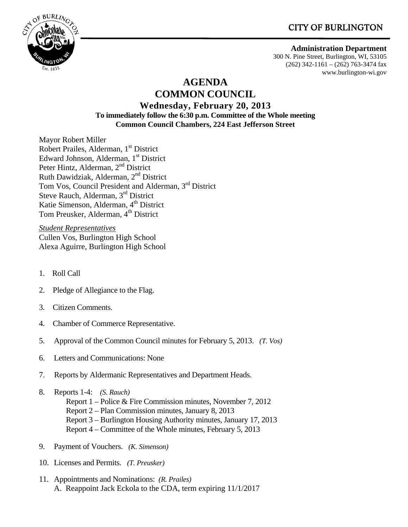# **CITY OF BURLINGTON**



#### **Administration Department**

300 N. Pine Street, Burlington, WI, 53105 (262) 342-1161 – (262) 763-3474 fax www.burlington-wi.gov

# **AGENDA COMMON COUNCIL**

#### **Wednesday, February 20, 2013 To immediately follow the 6:30 p.m. Committee of the Whole meeting Common Council Chambers, 224 East Jefferson Street**

Mayor Robert Miller Robert Prailes, Alderman, 1<sup>st</sup> District Edward Johnson, Alderman, 1<sup>st</sup> District Peter Hintz, Alderman, 2<sup>nd</sup> District Ruth Dawidziak, Alderman, 2nd District Tom Vos, Council President and Alderman, 3rd District Steve Rauch, Alderman, 3rd District Katie Simenson, Alderman, 4<sup>th</sup> District Tom Preusker, Alderman, 4<sup>th</sup> District

*Student Representatives* Cullen Vos, Burlington High School Alexa Aguirre, Burlington High School

- 1. Roll Call
- 2. Pledge of Allegiance to the Flag.
- 3. Citizen Comments.
- 4. Chamber of Commerce Representative.
- 5. Approval of the Common Council minutes for February 5, 2013. *(T. Vos)*
- 6. Letters and Communications: None
- 7. Reports by Aldermanic Representatives and Department Heads.
- 8. Reports 1-4: *(S. Rauch)*  Report 1 – Police & Fire Commission minutes, November 7, 2012 Report 2 – Plan Commission minutes, January 8, 2013 Report 3 – Burlington Housing Authority minutes, January 17, 2013 Report 4 – Committee of the Whole minutes, February 5, 2013
- 9. Payment of Vouchers. *(K. Simenson)*
- 10. Licenses and Permits. *(T. Preusker)*
- 11. Appointments and Nominations: *(R. Prailes)* A. Reappoint Jack Eckola to the CDA, term expiring 11/1/2017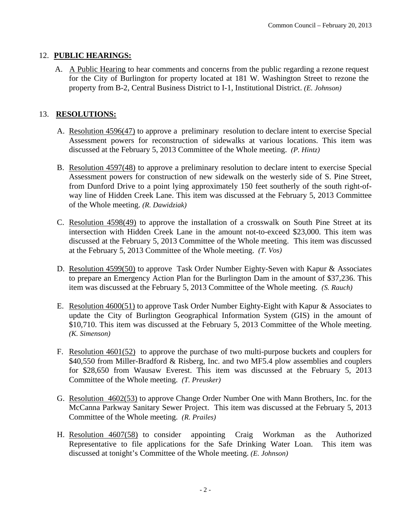#### 12. **PUBLIC HEARINGS:**

 A. A Public Hearing to hear comments and concerns from the public regarding a rezone request for the City of Burlington for property located at 181 W. Washington Street to rezone the property from B-2, Central Business District to I-1, Institutional District. *(E. Johnson)*

### 13. **RESOLUTIONS:**

- A. Resolution 4596(47) to approve a preliminary resolution to declare intent to exercise Special Assessment powers for reconstruction of sidewalks at various locations. This item was discussed at the February 5, 2013 Committee of the Whole meeting. *(P. Hintz)*
- B. Resolution 4597(48) to approve a preliminary resolution to declare intent to exercise Special Assessment powers for construction of new sidewalk on the westerly side of S. Pine Street, from Dunford Drive to a point lying approximately 150 feet southerly of the south right-ofway line of Hidden Creek Lane. This item was discussed at the February 5, 2013 Committee of the Whole meeting. *(R. Dawidziak)*
- C. Resolution 4598(49) to approve the installation of a crosswalk on South Pine Street at its intersection with Hidden Creek Lane in the amount not-to-exceed \$23,000. This item was discussed at the February 5, 2013 Committee of the Whole meeting. This item was discussed at the February 5, 2013 Committee of the Whole meeting. *(T. Vos)*
- D. Resolution 4599(50) to approve Task Order Number Eighty-Seven with Kapur & Associates to prepare an Emergency Action Plan for the Burlington Dam in the amount of \$37,236. This item was discussed at the February 5, 2013 Committee of the Whole meeting. *(S. Rauch)*
- E. Resolution 4600(51) to approve Task Order Number Eighty-Eight with Kapur & Associates to update the City of Burlington Geographical Information System (GIS) in the amount of \$10,710. This item was discussed at the February 5, 2013 Committee of the Whole meeting. *(K. Simenson)*
- F. Resolution 4601(52) to approve the purchase of two multi-purpose buckets and couplers for \$40,550 from Miller-Bradford & Risberg, Inc. and two MF5.4 plow assemblies and couplers for \$28,650 from Wausaw Everest. This item was discussed at the February 5, 2013 Committee of the Whole meeting. *(T. Preusker)*
- G. Resolution 4602(53) to approve Change Order Number One with Mann Brothers, Inc. for the McCanna Parkway Sanitary Sewer Project. This item was discussed at the February 5, 2013 Committee of the Whole meeting. *(R. Prailes)*
- H. Resolution 4607(58) to consider appointing Craig Workman as the Authorized Representative to file applications for the Safe Drinking Water Loan. This item was discussed at tonight's Committee of the Whole meeting. *(E. Johnson)*